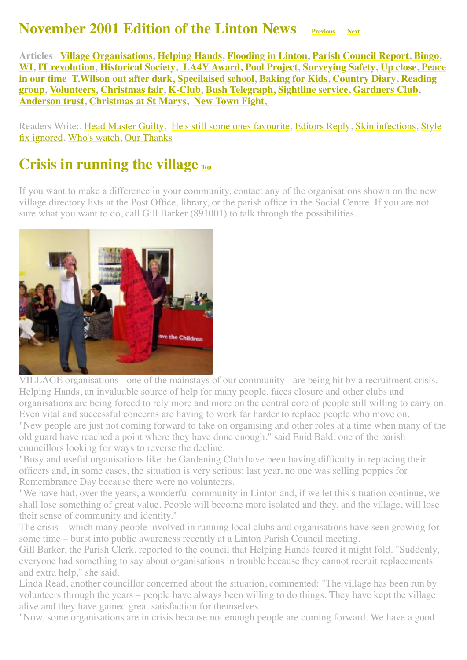#### **November 2001 Edition of the Linton News [Previous](http://www.linton.info/lintonnews/0110.html)** [Next](http://www.linton.info/lintonnews/0112.html)

<span id="page-0-1"></span>**Articles [Village Organisations,](#page-0-0) [Helping Hands](#page-1-0), [Flooding in Linton](#page-2-0), [Parish Council Report](#page-3-0), [Bingo,](http://www.linton.info/lintonnews/0111.html#Bingo%E2%80%99s) [WI](#page-3-1), [IT revolution](#page-4-0), [Historical Society,](#page-4-1) [LA4Y Award,](http://www.linton.info/lintonnews/0111.html#%C2%A3159,000%20AWARD) [Pool Project,](#page-7-0) [Surveying Safety,](#page-8-0) [Up close](#page-8-1), Peace in our time [T.Wilson out after dark,](#page-9-1) [Specilaised school, Baking for Kids, Country Diary, Reading](#page-9-0) group, [Volunteers,](#page-11-1) [Christmas fair](#page-11-2), [K-Club,](#page-12-0) [Bush Telegraph,](#page-12-1) [Sightline service,](#page-12-2) [Gardners Club](#page-13-0), [Anderson trust](#page-12-3), [Christmas at St Marys,](#page-13-1) [New Town Fight](#page-13-2)[,](http://www.linton.info/lintonnews/0111.html#FRIENDS)**

[Readers Write:, Head Master Guilty, He](#page-6-1)['](#page-5-0)[s still some ones favourite, Editors Reply, Skin infections, Style](#page-6-1) fix ignored, [Who's watch,](#page-6-2) [Our Thanks](#page-6-3)

## <span id="page-0-0"></span>**Crisis in running the village**  $_{\text{Top}}$  $_{\text{Top}}$  $_{\text{Top}}$

If you want to make a difference in your community, contact any of the organisations shown on the new village directory lists at the Post Office, library, or the parish office in the Social Centre. If you are not sure what you want to do, call Gill Barker (891001) to talk through the possibilities.



VILLAGE organisations - one of the mainstays of our community - are being hit by a recruitment crisis. Helping Hands, an invaluable source of help for many people, faces closure and other clubs and organisations are being forced to rely more and more on the central core of people still willing to carry on. Even vital and successful concerns are having to work far harder to replace people who move on. "New people are just not coming forward to take on organising and other roles at a time when many of the old guard have reached a point where they have done enough," said Enid Bald, one of the parish councillors looking for ways to reverse the decline.

"Busy and useful organisations like the Gardening Club have been having difficulty in replacing their officers and, in some cases, the situation is very serious: last year, no one was selling poppies for Remembrance Day because there were no volunteers.

"We have had, over the years, a wonderful community in Linton and, if we let this situation continue, we shall lose something of great value. People will become more isolated and they, and the village, will lose their sense of community and identity."

The crisis – which many people involved in running local clubs and organisations have seen growing for some time – burst into public awareness recently at a Linton Parish Council meeting.

Gill Barker, the Parish Clerk, reported to the council that Helping Hands feared it might fold. "Suddenly, everyone had something to say about organisations in trouble because they cannot recruit replacements and extra help," she said.

Linda Read, another councillor concerned about the situation, commented: "The village has been run by volunteers through the years – people have always been willing to do things. They have kept the village alive and they have gained great satisfaction for themselves.

"Now, some organisations are in crisis because not enough people are coming forward. We have a good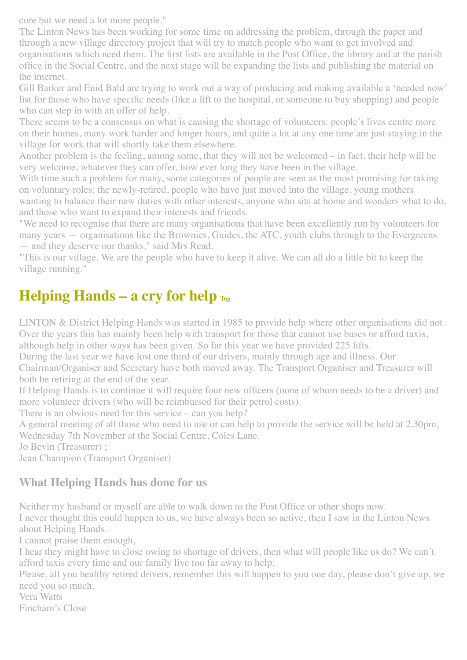core but we need a lot more people."

The Linton News has been working for some time on addressing the problem, through the paper and through a new village directory project that will try to match people who want to get involved and organisations which need them. The first lists are available in the Post Office, the library and at the parish office in the Social Centre, and the next stage will be expanding the lists and publishing the material on the internet.

Gill Barker and Enid Bald are trying to work out a way of producing and making available a 'needed now' list for those who have specific needs (like a lift to the hospital, or someone to buy shopping) and people who can step in with an offer of help.

There seems to be a consensus on what is causing the shortage of volunteers: people's lives centre more on their homes, many work harder and longer hours, and quite a lot at any one time are just staying in the village for work that will shortly take them elsewhere.

Another problem is the feeling, among some, that they will not be welcomed – in fact, their help will be very welcome, whatever they can offer, how ever long they have been in the village.

With time such a problem for many, some categories of people are seen as the most promising for taking on voluntary roles: the newly-retired, people who have just moved into the village, young mothers wanting to balance their new duties with other interests, anyone who sits at home and wonders what to do,

and those who want to expand their interests and friends.

"We need to recognise that there are many organisations that have been excellently run by volunteers for many years — organisations like the Brownies, Guides, the ATC, youth clubs through to the Evergreens — and they deserve our thanks," said Mrs Read.

"This is our village. We are the people who have to keep it alive. We can all do a little bit to keep the village running."

## <span id="page-1-0"></span>**Helping Hands – a cry for help**  $_{\text{Top}}$  $_{\text{Top}}$  $_{\text{Top}}$

LINTON & District Helping Hands was started in 1985 to provide help where other organisations did not. Over the years this has mainly been help with transport for those that cannot use buses or afford taxis, although help in other ways has been given. So far this year we have provided 225 lifts.

During the last year we have lost one third of our drivers, mainly through age and illness. Our

Chairman/Organiser and Secretary have both moved away. The Transport Organiser and Treasurer will both be retiring at the end of the year.

If Helping Hands is to continue it will require four new officers (none of whom needs to be a driver) and more volunteer drivers (who will be reimbursed for their petrol costs).

There is an obvious need for this service – can you help?

A general meeting of all those who need to use or can help to provide the service will be held at 2.30pm, Wednesday 7th November at the Social Centre, Coles Lane.

Jo Bevin (Treasurer) ;

Jean Champion (Transport Organiser)

#### **What Helping Hands has done for us**

Neither my husband or myself are able to walk down to the Post Office or other shops now.

I never thought this could happen to us, we have always been so active, then I saw in the Linton News about Helping Hands.

I cannot praise them enough,

I hear they might have to close owing to shortage of drivers, then what will people like us do? We can't afford taxis every time and our family live too far away to help.

Please, all you healthy retired drivers, remember this will happen to you one day, please don't give up, we need you so much.

Vera Watts Fincham's Close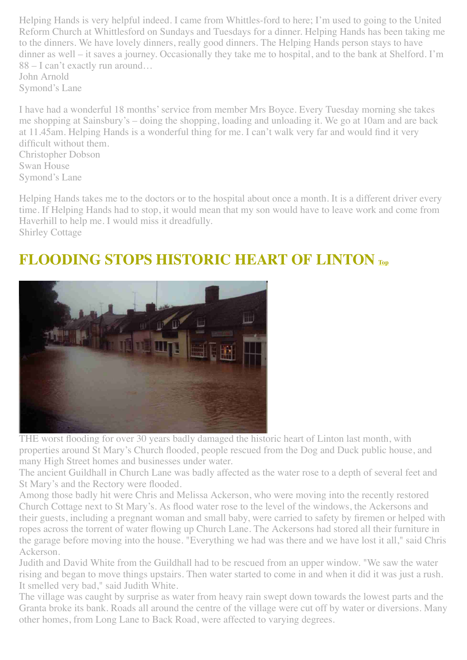Helping Hands is very helpful indeed. I came from Whittles-ford to here; I'm used to going to the United Reform Church at Whittlesford on Sundays and Tuesdays for a dinner. Helping Hands has been taking me to the dinners. We have lovely dinners, really good dinners. The Helping Hands person stays to have dinner as well – it saves a journey. Occasionally they take me to hospital, and to the bank at Shelford. I'm 88 – I can't exactly run around… John Arnold

Symond's Lane

I have had a wonderful 18 months' service from member Mrs Boyce. Every Tuesday morning she takes me shopping at Sainsbury's – doing the shopping, loading and unloading it. We go at 10am and are back at 11.45am. Helping Hands is a wonderful thing for me. I can't walk very far and would find it very difficult without them.

Christopher Dobson Swan House Symond's Lane

Helping Hands takes me to the doctors or to the hospital about once a month. It is a different driver every time. If Helping Hands had to stop, it would mean that my son would have to leave work and come from Haverhill to help me. I would miss it dreadfully. Shirley Cottage

## <span id="page-2-0"></span>**FLOODING STOPS HISTORIC HEART OF LINTON [Top](#page-0-1)**



THE worst flooding for over 30 years badly damaged the historic heart of Linton last month, with properties around St Mary's Church flooded, people rescued from the Dog and Duck public house, and many High Street homes and businesses under water.

The ancient Guildhall in Church Lane was badly affected as the water rose to a depth of several feet and St Mary's and the Rectory were flooded.

Among those badly hit were Chris and Melissa Ackerson, who were moving into the recently restored Church Cottage next to St Mary's. As flood water rose to the level of the windows, the Ackersons and their guests, including a pregnant woman and small baby, were carried to safety by firemen or helped with ropes across the torrent of water flowing up Church Lane. The Ackersons had stored all their furniture in the garage before moving into the house. "Everything we had was there and we have lost it all," said Chris Ackerson.

Judith and David White from the Guildhall had to be rescued from an upper window. "We saw the water rising and began to move things upstairs. Then water started to come in and when it did it was just a rush. It smelled very bad," said Judith White.

The village was caught by surprise as water from heavy rain swept down towards the lowest parts and the Granta broke its bank. Roads all around the centre of the village were cut off by water or diversions. Many other homes, from Long Lane to Back Road, were affected to varying degrees.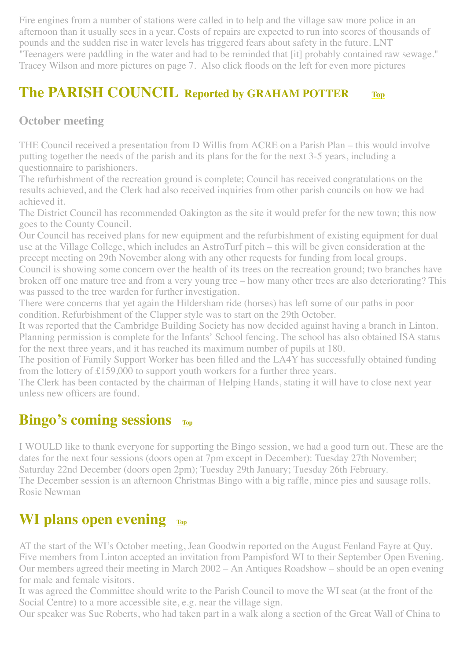Fire engines from a number of stations were called in to help and the village saw more police in an afternoon than it usually sees in a year. Costs of repairs are expected to run into scores of thousands of pounds and the sudden rise in water levels has triggered fears about safety in the future. LNT "Teenagers were paddling in the water and had to be reminded that [it] probably contained raw sewage." Tracey Wilson and more pictures on page 7. Also click floods on the left for even more pictures

#### <span id="page-3-0"></span>**The PARISH COUNCIL Reported by GRAHAM POTTER [Top](#page-0-1)**

#### **October meeting**

THE Council received a presentation from D Willis from ACRE on a Parish Plan – this would involve putting together the needs of the parish and its plans for the for the next 3-5 years, including a questionnaire to parishioners.

The refurbishment of the recreation ground is complete; Council has received congratulations on the results achieved, and the Clerk had also received inquiries from other parish councils on how we had achieved it.

The District Council has recommended Oakington as the site it would prefer for the new town; this now goes to the County Council.

Our Council has received plans for new equipment and the refurbishment of existing equipment for dual use at the Village College, which includes an AstroTurf pitch – this will be given consideration at the precept meeting on 29th November along with any other requests for funding from local groups. Council is showing some concern over the health of its trees on the recreation ground; two branches have broken off one mature tree and from a very young tree – how many other trees are also deteriorating? This

was passed to the tree warden for further investigation.

There were concerns that yet again the Hildersham ride (horses) has left some of our paths in poor condition. Refurbishment of the Clapper style was to start on the 29th October.

It was reported that the Cambridge Building Society has now decided against having a branch in Linton. Planning permission is complete for the Infants' School fencing. The school has also obtained ISA status for the next three years, and it has reached its maximum number of pupils at 180.

The position of Family Support Worker has been filled and the LA4Y has successfully obtained funding from the lottery of £159,000 to support youth workers for a further three years.

The Clerk has been contacted by the chairman of Helping Hands, stating it will have to close next year unless new officers are found.

## **Bingo's coming sessions [Top](#page-0-1)**

I WOULD like to thank everyone for supporting the Bingo session, we had a good turn out. These are the dates for the next four sessions (doors open at 7pm except in December): Tuesday 27th November; Saturday 22nd December (doors open 2pm); Tuesday 29th January; Tuesday 26th February. The December session is an afternoon Christmas Bingo with a big raffle, mince pies and sausage rolls. Rosie Newman

## <span id="page-3-1"></span>**WI plans open evening [Top](#page-0-1)**

AT the start of the WI's October meeting, Jean Goodwin reported on the August Fenland Fayre at Quy. Five members from Linton accepted an invitation from Pampisford WI to their September Open Evening. Our members agreed their meeting in March 2002 – An Antiques Roadshow – should be an open evening for male and female visitors.

It was agreed the Committee should write to the Parish Council to move the WI seat (at the front of the Social Centre) to a more accessible site, e.g. near the village sign.

Our speaker was Sue Roberts, who had taken part in a walk along a section of the Great Wall of China to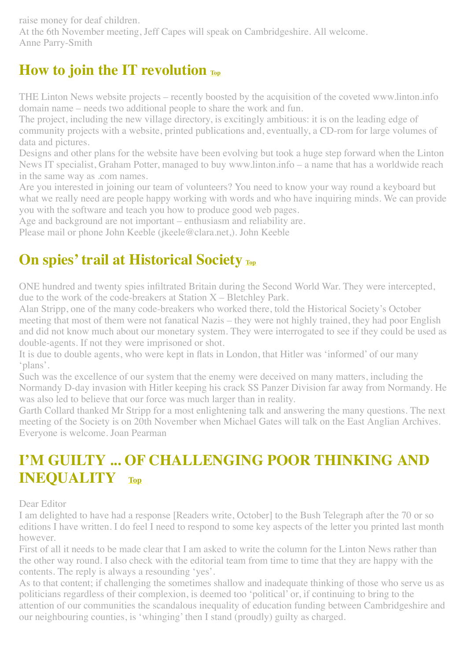raise money for deaf children. At the 6th November meeting, Jeff Capes will speak on Cambridgeshire. All welcome. Anne Parry-Smith

## <span id="page-4-0"></span>**How to join the IT revolution TD**

THE Linton News website projects – recently boosted by the acquisition of the coveted www.linton.info domain name – needs two additional people to share the work and fun.

The project, including the new village directory, is excitingly ambitious: it is on the leading edge of community projects with a website, printed publications and, eventually, a CD-rom for large volumes of data and pictures.

Designs and other plans for the website have been evolving but took a huge step forward when the Linton News IT specialist, Graham Potter, managed to buy www.linton.info – a name that has a worldwide reach in the same way as .com names.

Are you interested in joining our team of volunteers? You need to know your way round a keyboard but what we really need are people happy working with words and who have inquiring minds. We can provide you with the software and teach you how to produce good web pages.

Age and background are not important – enthusiasm and reliability are.

Please mail or phone John Keeble (jkeele@clara.net,). John Keeble

# <span id="page-4-1"></span>**On spies' trail at Historical Society [Top](#page-0-1)**

ONE hundred and twenty spies infiltrated Britain during the Second World War. They were intercepted, due to the work of the code-breakers at Station X – Bletchley Park.

Alan Stripp, one of the many code-breakers who worked there, told the Historical Society's October meeting that most of them were not fanatical Nazis – they were not highly trained, they had poor English and did not know much about our monetary system. They were interrogated to see if they could be used as double-agents. If not they were imprisoned or shot.

It is due to double agents, who were kept in flats in London, that Hitler was 'informed' of our many 'plans'.

Such was the excellence of our system that the enemy were deceived on many matters, including the Normandy D-day invasion with Hitler keeping his crack SS Panzer Division far away from Normandy. He was also led to believe that our force was much larger than in reality.

Garth Collard thanked Mr Stripp for a most enlightening talk and answering the many questions. The next meeting of the Society is on 20th November when Michael Gates will talk on the East Anglian Archives. Everyone is welcome. Joan Pearman

## **I'M GUILTY ... OF CHALLENGING POOR THINKING AND INEQUALITY [Top](#page-0-1)**

Dear Editor

I am delighted to have had a response [Readers write, October] to the Bush Telegraph after the 70 or so editions I have written. I do feel I need to respond to some key aspects of the letter you printed last month however.

First of all it needs to be made clear that I am asked to write the column for the Linton News rather than the other way round. I also check with the editorial team from time to time that they are happy with the contents. The reply is always a resounding 'yes'.

As to that content; if challenging the sometimes shallow and inadequate thinking of those who serve us as politicians regardless of their complexion, is deemed too 'political' or, if continuing to bring to the attention of our communities the scandalous inequality of education funding between Cambridgeshire and our neighbouring counties, is 'whinging' then I stand (proudly) guilty as charged.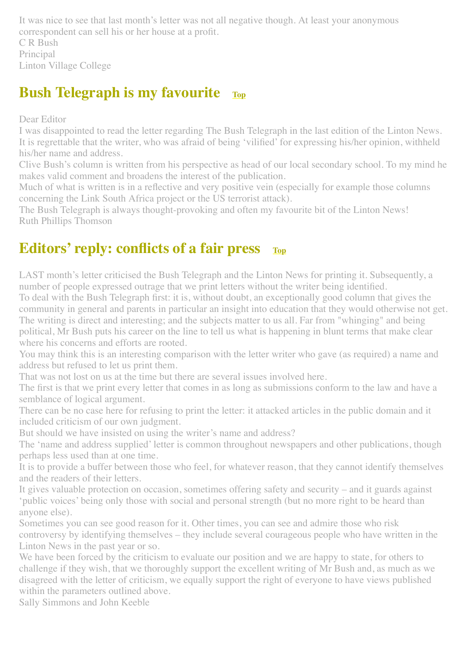It was nice to see that last month's letter was not all negative though. At least your anonymous correspondent can sell his or her house at a profit.

C R Bush Principal Linton Village College

#### <span id="page-5-0"></span>**Bush Telegraph is my favourite [Top](#page-0-1)**

Dear Editor

I was disappointed to read the letter regarding The Bush Telegraph in the last edition of the Linton News. It is regrettable that the writer, who was afraid of being 'vilified' for expressing his/her opinion, withheld his/her name and address.

Clive Bush's column is written from his perspective as head of our local secondary school. To my mind he makes valid comment and broadens the interest of the publication.

Much of what is written is in a reflective and very positive vein (especially for example those columns concerning the Link South Africa project or the US terrorist attack).

The Bush Telegraph is always thought-provoking and often my favourite bit of the Linton News! Ruth Phillips Thomson

# **Editors' reply: conflicts of a fair press**  $T_{\text{op}}$

LAST month's letter criticised the Bush Telegraph and the Linton News for printing it. Subsequently, a number of people expressed outrage that we print letters without the writer being identified.

To deal with the Bush Telegraph first: it is, without doubt, an exceptionally good column that gives the community in general and parents in particular an insight into education that they would otherwise not get. The writing is direct and interesting; and the subjects matter to us all. Far from "whinging" and being political, Mr Bush puts his career on the line to tell us what is happening in blunt terms that make clear where his concerns and efforts are rooted.

You may think this is an interesting comparison with the letter writer who gave (as required) a name and address but refused to let us print them.

That was not lost on us at the time but there are several issues involved here.

The first is that we print every letter that comes in as long as submissions conform to the law and have a semblance of logical argument.

There can be no case here for refusing to print the letter: it attacked articles in the public domain and it included criticism of our own judgment.

But should we have insisted on using the writer's name and address?

The 'name and address supplied' letter is common throughout newspapers and other publications, though perhaps less used than at one time.

It is to provide a buffer between those who feel, for whatever reason, that they cannot identify themselves and the readers of their letters.

It gives valuable protection on occasion, sometimes offering safety and security – and it guards against 'public voices' being only those with social and personal strength (but no more right to be heard than anyone else).

Sometimes you can see good reason for it. Other times, you can see and admire those who risk controversy by identifying themselves – they include several courageous people who have written in the Linton News in the past year or so.

We have been forced by the criticism to evaluate our position and we are happy to state, for others to challenge if they wish, that we thoroughly support the excellent writing of Mr Bush and, as much as we disagreed with the letter of criticism, we equally support the right of everyone to have views published within the parameters outlined above.

Sally Simmons and John Keeble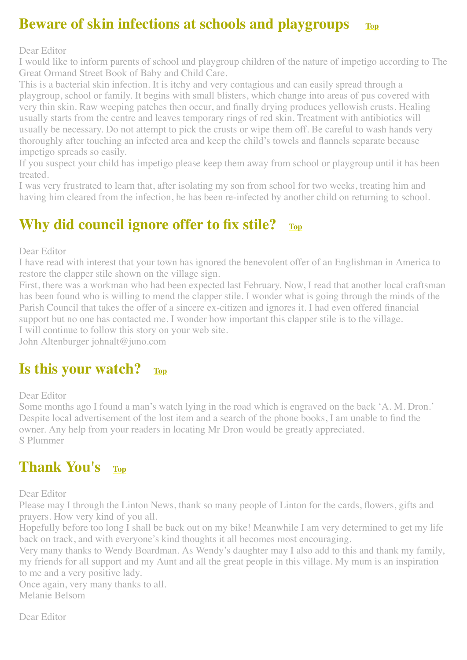#### <span id="page-6-0"></span>**Beware of skin infections at schools and playgroups [Top](#page-0-1)**

Dear Editor

I would like to inform parents of school and playgroup children of the nature of impetigo according to The Great Ormand Street Book of Baby and Child Care.

This is a bacterial skin infection. It is itchy and very contagious and can easily spread through a playgroup, school or family. It begins with small blisters, which change into areas of pus covered with very thin skin. Raw weeping patches then occur, and finally drying produces yellowish crusts. Healing usually starts from the centre and leaves temporary rings of red skin. Treatment with antibiotics will usually be necessary. Do not attempt to pick the crusts or wipe them off. Be careful to wash hands very thoroughly after touching an infected area and keep the child's towels and flannels separate because impetigo spreads so easily.

If you suspect your child has impetigo please keep them away from school or playgroup until it has been treated.

I was very frustrated to learn that, after isolating my son from school for two weeks, treating him and having him cleared from the infection, he has been re-infected by another child on returning to school.

## <span id="page-6-1"></span>**Why did council ignore offer to fix stile? [Top](#page-0-1)**

Dear Editor

I have read with interest that your town has ignored the benevolent offer of an Englishman in America to restore the clapper stile shown on the village sign.

First, there was a workman who had been expected last February. Now, I read that another local craftsman has been found who is willing to mend the clapper stile. I wonder what is going through the minds of the Parish Council that takes the offer of a sincere ex-citizen and ignores it. I had even offered financial support but no one has contacted me. I wonder how important this clapper stile is to the village. I will continue to follow this story on your web site.

John Altenburger johnalt@juno.com

#### <span id="page-6-2"></span>**Is this your watch? [Top](#page-0-1)**

Dear Editor

Some months ago I found a man's watch lying in the road which is engraved on the back 'A. M. Dron.' Despite local advertisement of the lost item and a search of the phone books, I am unable to find the owner. Any help from your readers in locating Mr Dron would be greatly appreciated. S Plummer

#### <span id="page-6-3"></span>**Thank You's [Top](#page-0-1)**

Dear Editor

Please may I through the Linton News, thank so many people of Linton for the cards, flowers, gifts and prayers. How very kind of you all.

Hopefully before too long I shall be back out on my bike! Meanwhile I am very determined to get my life back on track, and with everyone's kind thoughts it all becomes most encouraging.

Very many thanks to Wendy Boardman. As Wendy's daughter may I also add to this and thank my family, my friends for all support and my Aunt and all the great people in this village. My mum is an inspiration to me and a very positive lady.

Once again, very many thanks to all. Melanie Belsom

Dear Editor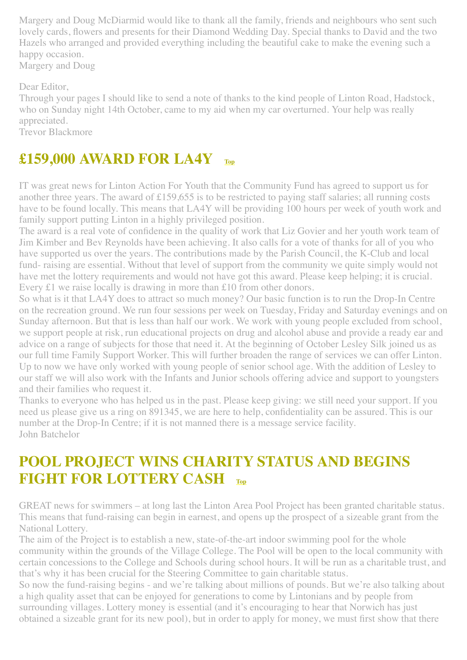Margery and Doug McDiarmid would like to thank all the family, friends and neighbours who sent such lovely cards, flowers and presents for their Diamond Wedding Day. Special thanks to David and the two Hazels who arranged and provided everything including the beautiful cake to make the evening such a happy occasion. Margery and Doug

Dear Editor,

Through your pages I should like to send a note of thanks to the kind people of Linton Road, Hadstock, who on Sunday night 14th October, came to my aid when my car overturned. Your help was really appreciated.

Trevor Blackmore

## **£159,000 AWARD FOR LA4Y [Top](#page-0-1)**

IT was great news for Linton Action For Youth that the Community Fund has agreed to support us for another three years. The award of £159,655 is to be restricted to paying staff salaries; all running costs have to be found locally. This means that LA4Y will be providing 100 hours per week of youth work and family support putting Linton in a highly privileged position.

The award is a real vote of confidence in the quality of work that Liz Govier and her youth work team of Jim Kimber and Bev Reynolds have been achieving. It also calls for a vote of thanks for all of you who have supported us over the years. The contributions made by the Parish Council, the K-Club and local fund- raising are essential. Without that level of support from the community we quite simply would not have met the lottery requirements and would not have got this award. Please keep helping; it is crucial. Every £1 we raise locally is drawing in more than £10 from other donors.

So what is it that LA4Y does to attract so much money? Our basic function is to run the Drop-In Centre on the recreation ground. We run four sessions per week on Tuesday, Friday and Saturday evenings and on Sunday afternoon. But that is less than half our work. We work with young people excluded from school, we support people at risk, run educational projects on drug and alcohol abuse and provide a ready ear and advice on a range of subjects for those that need it. At the beginning of October Lesley Silk joined us as our full time Family Support Worker. This will further broaden the range of services we can offer Linton. Up to now we have only worked with young people of senior school age. With the addition of Lesley to our staff we will also work with the Infants and Junior schools offering advice and support to youngsters and their families who request it.

Thanks to everyone who has helped us in the past. Please keep giving: we still need your support. If you need us please give us a ring on 891345, we are here to help, confidentiality can be assured. This is our number at the Drop-In Centre; if it is not manned there is a message service facility. John Batchelor

## <span id="page-7-0"></span>**POOL PROJECT WINS CHARITY STATUS AND BEGINS FIGHT FOR LOTTERY CASH [Top](#page-0-1)**

GREAT news for swimmers – at long last the Linton Area Pool Project has been granted charitable status. This means that fund-raising can begin in earnest, and opens up the prospect of a sizeable grant from the National Lottery.

The aim of the Project is to establish a new, state-of-the-art indoor swimming pool for the whole community within the grounds of the Village College. The Pool will be open to the local community with certain concessions to the College and Schools during school hours. It will be run as a charitable trust, and that's why it has been crucial for the Steering Committee to gain charitable status.

So now the fund-raising begins - and we're talking about millions of pounds. But we're also talking about a high quality asset that can be enjoyed for generations to come by Lintonians and by people from surrounding villages. Lottery money is essential (and it's encouraging to hear that Norwich has just obtained a sizeable grant for its new pool), but in order to apply for money, we must first show that there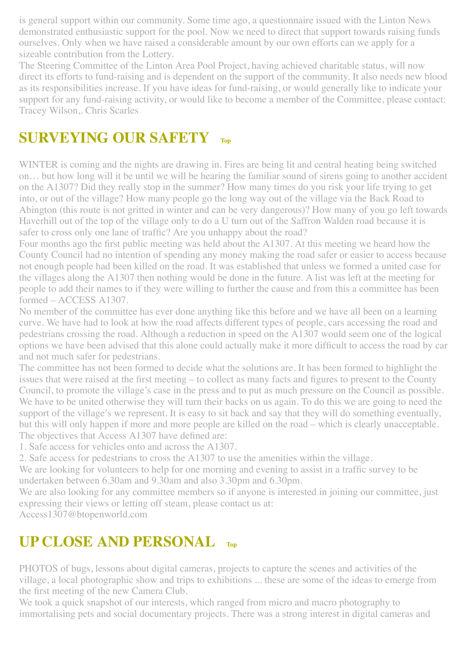is general support within our community. Some time ago, a questionnaire issued with the Linton News demonstrated enthusiastic support for the pool. Now we need to direct that support towards raising funds ourselves. Only when we have raised a considerable amount by our own efforts can we apply for a sizeable contribution from the Lottery.

The Steering Committee of the Linton Area Pool Project, having achieved charitable status, will now direct its efforts to fund-raising and is dependent on the support of the community. It also needs new blood as its responsibilities increase. If you have ideas for fund-raising, or would generally like to indicate your support for any fund-raising activity, or would like to become a member of the Committee, please contact: Tracey Wilson,. Chris Scarles

## <span id="page-8-0"></span>**SURVEYING OUR SAFETY**

WINTER is coming and the nights are drawing in. Fires are being lit and central heating being switched on… but how long will it be until we will be hearing the familiar sound of sirens going to another accident on the A1307? Did they really stop in the summer? How many times do you risk your life trying to get into, or out of the village? How many people go the long way out of the village via the Back Road to Abington (this route is not gritted in winter and can be very dangerous)? How many of you go left towards Haverhill out of the top of the village only to do a U turn out of the Saffron Walden road because it is safer to cross only one lane of traffic? Are you unhappy about the road?

Four months ago the first public meeting was held about the A1307. At this meeting we heard how the County Council had no intention of spending any money making the road safer or easier to access because not enough people had been killed on the road. It was established that unless we formed a united case for the villages along the A1307 then nothing would be done in the future. A list was left at the meeting for people to add their names to if they were willing to further the cause and from this a committee has been formed – ACCESS A1307.

No member of the committee has ever done anything like this before and we have all been on a learning curve. We have had to look at how the road affects different types of people, cars accessing the road and pedestrians crossing the road. Although a reduction in speed on the A1307 would seem one of the logical options we have been advised that this alone could actually make it more difficult to access the road by car and not much safer for pedestrians.

The committee has not been formed to decide what the solutions are. It has been formed to highlight the issues that were raised at the first meeting – to collect as many facts and figures to present to the County Council, to promote the village's case in the press and to put as much pressure on the Council as possible. We have to be united otherwise they will turn their backs on us again. To do this we are going to need the support of the village's we represent. It is easy to sit back and say that they will do something eventually, but this will only happen if more and more people are killed on the road – which is clearly unacceptable. The objectives that Access A1307 have defined are:

1. Safe access for vehicles onto and across the A1307.

2. Safe access for pedestrians to cross the A1307 to use the amenities within the village.

We are looking for volunteers to help for one morning and evening to assist in a traffic survey to be undertaken between 6.30am and 9.30am and also 3.30pm and 6.30pm.

We are also looking for any committee members so if anyone is interested in joining our committee, just expressing their views or letting off steam, please contact us at:

Access1307@btopenworld.com

## <span id="page-8-1"></span>**UP CLOSE AND PERSONAL**

PHOTOS of bugs, lessons about digital cameras, projects to capture the scenes and activities of the village, a local photographic show and trips to exhibitions ... these are some of the ideas to emerge from the first meeting of the new Camera Club.

We took a quick snapshot of our interests, which ranged from micro and macro photography to immortalising pets and social documentary projects. There was a strong interest in digital cameras and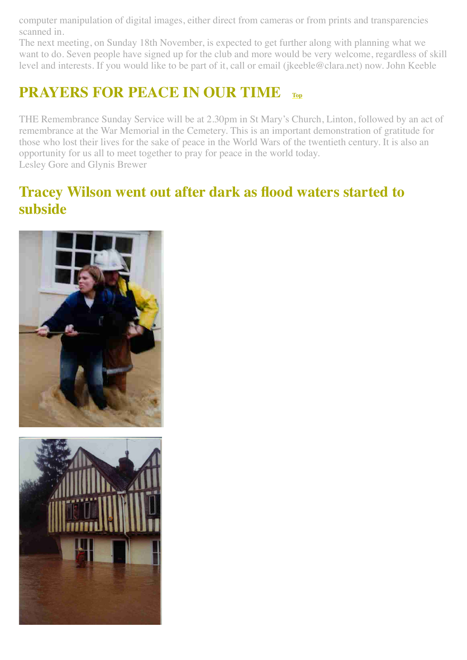computer manipulation of digital images, either direct from cameras or from prints and transparencies scanned in.

The next meeting, on Sunday 18th November, is expected to get further along with planning what we want to do. Seven people have signed up for the club and more would be very welcome, regardless of skill level and interests. If you would like to be part of it, call or email (jkeeble@clara.net) now. John Keeble

# <span id="page-9-0"></span>**PRAYERS FOR PEACE IN OUR TIME [Top](#page-0-1)**

THE Remembrance Sunday Service will be at 2.30pm in St Mary's Church, Linton, followed by an act of remembrance at the War Memorial in the Cemetery. This is an important demonstration of gratitude for those who lost their lives for the sake of peace in the World Wars of the twentieth century. It is also an opportunity for us all to meet together to pray for peace in the world today. Lesley Gore and Glynis Brewer

#### <span id="page-9-1"></span>**Tracey Wilson went out after dark as flood waters started to subside**



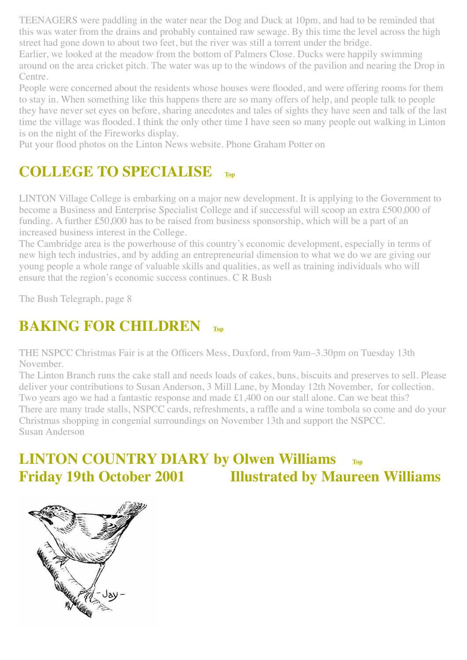TEENAGERS were paddling in the water near the Dog and Duck at 10pm, and had to be reminded that this was water from the drains and probably contained raw sewage. By this time the level across the high street had gone down to about two feet, but the river was still a torrent under the bridge.

Earlier, we looked at the meadow from the bottom of Palmers Close. Ducks were happily swimming around on the area cricket pitch. The water was up to the windows of the pavilion and nearing the Drop in Centre.

People were concerned about the residents whose houses were flooded, and were offering rooms for them to stay in. When something like this happens there are so many offers of help, and people talk to people they have never set eyes on before, sharing anecdotes and tales of sights they have seen and talk of the last time the village was flooded. I think the only other time I have seen so many people out walking in Linton is on the night of the Fireworks display.

Put your flood photos on the Linton News website. Phone Graham Potter on

## <span id="page-10-0"></span>**COLLEGE TO SPECIALISE [Top](#page-0-1)**

LINTON Village College is embarking on a major new development. It is applying to the Government to become a Business and Enterprise Specialist College and if successful will scoop an extra £500,000 of funding. A further £50,000 has to be raised from business sponsorship, which will be a part of an increased business interest in the College.

The Cambridge area is the powerhouse of this country's economic development, especially in terms of new high tech industries, and by adding an entrepreneurial dimension to what we do we are giving our young people a whole range of valuable skills and qualities, as well as training individuals who will ensure that the region's economic success continues. C R Bush

The Bush Telegraph, page 8

## <span id="page-10-1"></span>**BAKING FOR CHILDREN**

THE NSPCC Christmas Fair is at the Officers Mess, Duxford, from 9am–3.30pm on Tuesday 13th November.

The Linton Branch runs the cake stall and needs loads of cakes, buns, biscuits and preserves to sell. Please deliver your contributions to Susan Anderson, 3 Mill Lane, by Monday 12th November, for collection. Two years ago we had a fantastic response and made £1,400 on our stall alone. Can we beat this? There are many trade stalls, NSPCC cards, refreshments, a raffle and a wine tombola so come and do your Christmas shopping in congenial surroundings on November 13th and support the NSPCC. Susan Anderson

## <span id="page-10-2"></span>**LINTON COUNTRY DIARY by Olwen Williams [Top](#page-0-1) Friday 19th October 2001 Illustrated by Maureen Williams**

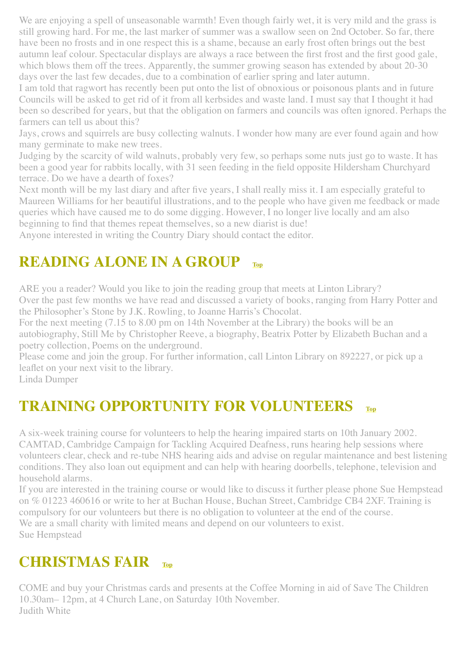We are enjoying a spell of unseasonable warmth! Even though fairly wet, it is very mild and the grass is still growing hard. For me, the last marker of summer was a swallow seen on 2nd October. So far, there have been no frosts and in one respect this is a shame, because an early frost often brings out the best autumn leaf colour. Spectacular displays are always a race between the first frost and the first good gale, which blows them off the trees. Apparently, the summer growing season has extended by about 20-30 days over the last few decades, due to a combination of earlier spring and later autumn.

I am told that ragwort has recently been put onto the list of obnoxious or poisonous plants and in future Councils will be asked to get rid of it from all kerbsides and waste land. I must say that I thought it had been so described for years, but that the obligation on farmers and councils was often ignored. Perhaps the farmers can tell us about this?

Jays, crows and squirrels are busy collecting walnuts. I wonder how many are ever found again and how many germinate to make new trees.

Judging by the scarcity of wild walnuts, probably very few, so perhaps some nuts just go to waste. It has been a good year for rabbits locally, with 31 seen feeding in the field opposite Hildersham Churchyard terrace. Do we have a dearth of foxes?

Next month will be my last diary and after five years, I shall really miss it. I am especially grateful to Maureen Williams for her beautiful illustrations, and to the people who have given me feedback or made queries which have caused me to do some digging. However, I no longer live locally and am also beginning to find that themes repeat themselves, so a new diarist is due!

Anyone interested in writing the Country Diary should contact the editor.

## <span id="page-11-0"></span>**READING ALONE IN A GROUP [Top](#page-0-1)**

ARE you a reader? Would you like to join the reading group that meets at Linton Library? Over the past few months we have read and discussed a variety of books, ranging from Harry Potter and the Philosopher's Stone by J.K. Rowling, to Joanne Harris's Chocolat.

For the next meeting (7.15 to 8.00 pm on 14th November at the Library) the books will be an autobiography, Still Me by Christopher Reeve, a biography, Beatrix Potter by Elizabeth Buchan and a poetry collection, Poems on the underground.

Please come and join the group. For further information, call Linton Library on 892227, or pick up a leaflet on your next visit to the library.

Linda Dumper

## <span id="page-11-1"></span>**TRAINING OPPORTUNITY FOR VOLUNTEERS [Top](#page-0-1)**

A six-week training course for volunteers to help the hearing impaired starts on 10th January 2002. CAMTAD, Cambridge Campaign for Tackling Acquired Deafness, runs hearing help sessions where volunteers clear, check and re-tube NHS hearing aids and advise on regular maintenance and best listening conditions. They also loan out equipment and can help with hearing doorbells, telephone, television and household alarms.

If you are interested in the training course or would like to discuss it further please phone Sue Hempstead on % 01223 460616 or write to her at Buchan House, Buchan Street, Cambridge CB4 2XF. Training is compulsory for our volunteers but there is no obligation to volunteer at the end of the course. We are a small charity with limited means and depend on our volunteers to exist. Sue Hempstead

## <span id="page-11-2"></span>**CHRISTMAS FAIR [Top](#page-0-1)**

COME and buy your Christmas cards and presents at the Coffee Morning in aid of Save The Children 10.30am– 12pm, at 4 Church Lane, on Saturday 10th November. Judith White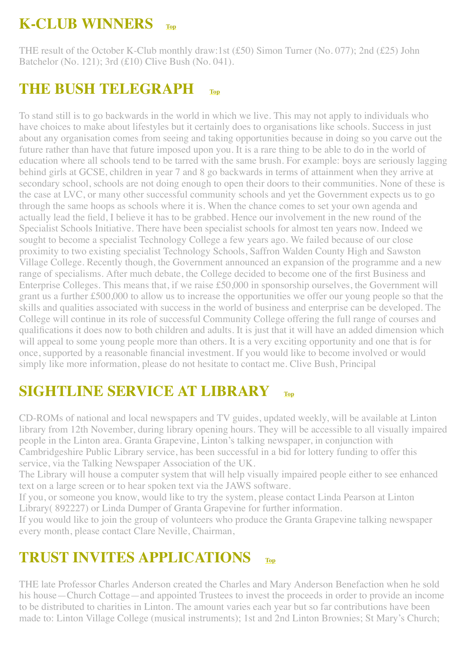## <span id="page-12-0"></span>**K-CLUB WINNERS [Top](#page-0-1)**

THE result of the October K-Club monthly draw:1st (£50) Simon Turner (No. 077); 2nd (£25) John Batchelor (No. 121); 3rd (£10) Clive Bush (No. 041).

## <span id="page-12-1"></span>**THE BUSH TELEGRAPH [Top](#page-0-1)**

To stand still is to go backwards in the world in which we live. This may not apply to individuals who have choices to make about lifestyles but it certainly does to organisations like schools. Success in just about any organisation comes from seeing and taking opportunities because in doing so you carve out the future rather than have that future imposed upon you. It is a rare thing to be able to do in the world of education where all schools tend to be tarred with the same brush. For example: boys are seriously lagging behind girls at GCSE, children in year 7 and 8 go backwards in terms of attainment when they arrive at secondary school, schools are not doing enough to open their doors to their communities. None of these is the case at LVC, or many other successful community schools and yet the Government expects us to go through the same hoops as schools where it is. When the chance comes to set your own agenda and actually lead the field, I believe it has to be grabbed. Hence our involvement in the new round of the Specialist Schools Initiative. There have been specialist schools for almost ten years now. Indeed we sought to become a specialist Technology College a few years ago. We failed because of our close proximity to two existing specialist Technology Schools, Saffron Walden County High and Sawston Village College. Recently though, the Government announced an expansion of the programme and a new range of specialisms. After much debate, the College decided to become one of the first Business and Enterprise Colleges. This means that, if we raise £50,000 in sponsorship ourselves, the Government will grant us a further £500,000 to allow us to increase the opportunities we offer our young people so that the skills and qualities associated with success in the world of business and enterprise can be developed. The College will continue in its role of successful Community College offering the full range of courses and qualifications it does now to both children and adults. It is just that it will have an added dimension which will appeal to some young people more than others. It is a very exciting opportunity and one that is for once, supported by a reasonable financial investment. If you would like to become involved or would simply like more information, please do not hesitate to contact me. Clive Bush, Principal

## <span id="page-12-2"></span>**SIGHTLINE SERVICE AT LIBRARY [Top](#page-0-1)**

CD-ROMs of national and local newspapers and TV guides, updated weekly, will be available at Linton library from 12th November, during library opening hours. They will be accessible to all visually impaired people in the Linton area. Granta Grapevine, Linton's talking newspaper, in conjunction with Cambridgeshire Public Library service, has been successful in a bid for lottery funding to offer this service, via the Talking Newspaper Association of the UK.

The Library will house a computer system that will help visually impaired people either to see enhanced text on a large screen or to hear spoken text via the JAWS software.

If you, or someone you know, would like to try the system, please contact Linda Pearson at Linton Library( 892227) or Linda Dumper of Granta Grapevine for further information.

If you would like to join the group of volunteers who produce the Granta Grapevine talking newspaper every month, please contact Clare Neville, Chairman,

## <span id="page-12-3"></span>**TRUST INVITES APPLICATIONS [Top](#page-0-1)**

THE late Professor Charles Anderson created the Charles and Mary Anderson Benefaction when he sold his house—Church Cottage—and appointed Trustees to invest the proceeds in order to provide an income to be distributed to charities in Linton. The amount varies each year but so far contributions have been made to: Linton Village College (musical instruments); 1st and 2nd Linton Brownies; St Mary's Church;